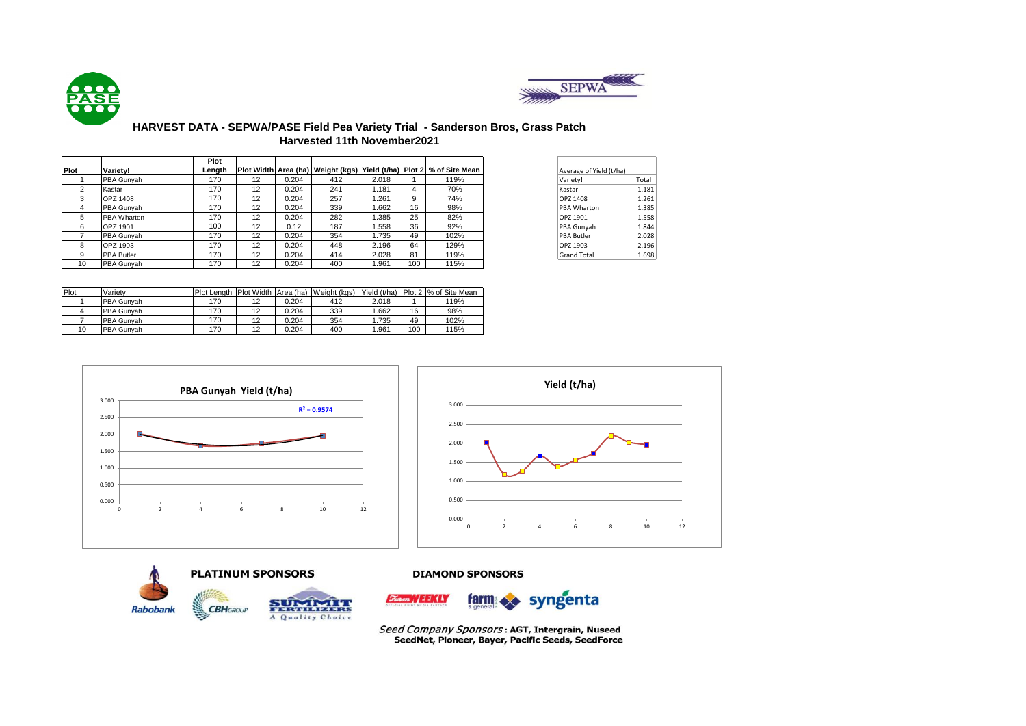



## **HARVEST DATA - SEPWA/PASE Field Pea Variety Trial - Sanderson Bros, Grass Patch Harvested 11th November2021**

|      |                   | Plot   |    |       |     |       |     |                                                                               |                         |       |
|------|-------------------|--------|----|-------|-----|-------|-----|-------------------------------------------------------------------------------|-------------------------|-------|
| Plot | <b>Variety!</b>   | Length |    |       |     |       |     | Plot Width  Area (ha)   Weight (kgs)   Yield (t/ha)   Plot 2   % of Site Mean | Average of Yield (t/ha) |       |
|      | PBA Gunvah        | 170    | 12 | 0.204 | 412 | 2.018 |     | 119%                                                                          | Variety!                | Total |
|      | Kastar            | 170    | 12 | 0.204 | 241 | 1.181 | 4   | 70%                                                                           | Kastar                  | 1.181 |
|      | OPZ 1408          | 170    | 12 | 0.204 | 257 | .261  | 9   | 74%                                                                           | OPZ 1408                | 1.261 |
|      | PBA Gunyah        | 170    | 12 | 0.204 | 339 | .662  | 16  | 98%                                                                           | <b>PBA Wharton</b>      | 1.385 |
|      | PBA Wharton       | 170    | 12 | 0.204 | 282 | .385  | 25  | 82%                                                                           | OPZ 1901                | 1.558 |
| 6    | OPZ 1901          | 100    | 12 | 0.12  | 187 | .558  | 36  | 92%                                                                           | PBA Gunyah              | 1.844 |
|      | PBA Gunvah        | 170    | 12 | 0.204 | 354 | 1.735 | 49  | 102%                                                                          | <b>PBA Butler</b>       | 2.028 |
|      | OPZ 1903          | 170    | 12 | 0.204 | 448 | 2.196 | 64  | 129%                                                                          | OPZ 1903                | 2.196 |
|      | <b>PBA Butler</b> | 170    | 12 | 0.204 | 414 | 2.028 | 81  | 119%                                                                          | <b>Grand Total</b>      | 1.698 |
| 10   | PBA Gunvah        | 170    | 12 | 0.204 | 400 | .961  | 100 | 115%                                                                          |                         |       |

| Average of Yield (t/ha) |       |
|-------------------------|-------|
| Variety!                | Total |
| Kastar                  | 1.181 |
| OPZ 1408                | 1.261 |
| PRA Wharton             | 1.385 |
| OPZ 1901                | 1.558 |
| PBA Gunyah              | 1.844 |
| <b>PBA Butler</b>       | 2.028 |
| OPZ 1903                | 2.196 |
| <b>Grand Total</b>      | 1.698 |

| Plot | Variety!   | Plot Lenath | <b>Plot Width</b>   | Area (ha) | Weight (kgs) | Yield (t/ha) |     | Plot 2 % of Site Mean |
|------|------------|-------------|---------------------|-----------|--------------|--------------|-----|-----------------------|
|      | PBA Gunvah | 170         | 12                  | 0.204     | 412          | 2.018        |     | 119%                  |
|      | PBA Gunvah | 170         | 10                  | 0.204     | 339          | 1.662        | 16  | 98%                   |
|      | PBA Gunvah | 170         | 12                  | 0.204     | 354          | 1.735        | 49  | 102%                  |
| 10   | PBA Gunvah | 170         | $\overline{a}$<br>▵ | 0.204     | 400          | 1.961        | 100 | 115%                  |





# **PLATINUM SPONSORS Rabobank CBH**GROUP A Quality Choice

**DIAMOND SPONSORS** 



Seed Company Sponsors: AGT, Intergrain, Nuseed SeedNet, Pioneer, Bayer, Pacific Seeds, SeedForce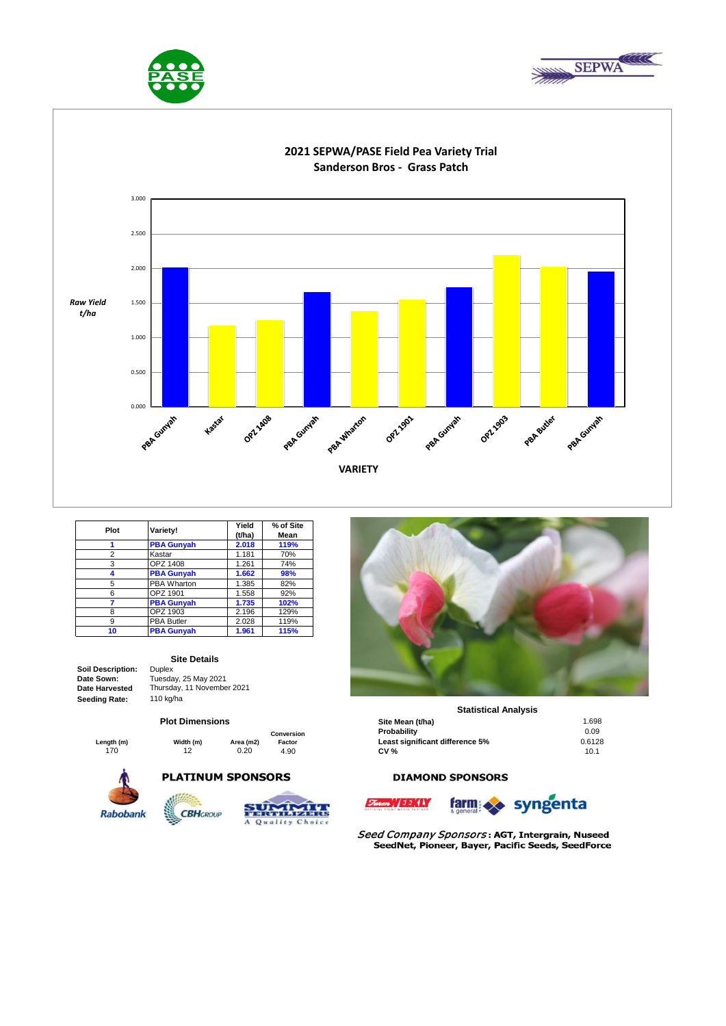





| Plot | Variety!          | Yield<br>(t/ha) | % of Site<br>Mean |
|------|-------------------|-----------------|-------------------|
|      | <b>PBA Gunyah</b> | 2.018           | 119%              |
| 2    | Kastar            | 1.181           | 70%               |
| 3    | OPZ 1408          | 1.261           | 74%               |
|      | <b>PBA Gunyah</b> | 1.662           | 98%               |
| 5    | PBA Wharton       | 1.385           | 82%               |
| 6    | OPZ 1901          | 1.558           | 92%               |
|      | <b>PBA Gunyah</b> | 1.735           | 102%              |
| 8    | OPZ 1903          | 2.196           | 129%              |
| 9    | <b>PBA Butler</b> | 2.028           | 119%              |
| 10   | <b>PBA Gunyah</b> | 1.961           | 115%              |

#### **Soil Description:** Duplex **Date Sown: Date Harvested Seeding Rate:** 110 kg/ha

**Site Details**

Tuesday, 25 May 2021 Thursday, 11 November 2021

#### **Plot Dimensions**

**Length (m) Width (m) Area (m2) Conversion Factor**

**PLATINUM SPONSORS** 







### **Statistical Analysis**

|          | <b>Plot Dimensions</b> |           |            | Site Mean (t/ha)                | 1.698  |
|----------|------------------------|-----------|------------|---------------------------------|--------|
|          |                        |           | Conversion | Probability                     | 0.09   |
| ıgth (m) | Width (m)              | Area (m2) | Factor     | Least significant difference 5% | 0.6128 |
| 170      | 12                     | 0.20      | 4.90       | <b>CV %</b>                     | 10.1   |

## **DIAMOND SPONSORS**





Seed Company Sponsors: AGT, Intergrain, Nuseed SeedNet, Pioneer, Bayer, Pacific Seeds, SeedForce